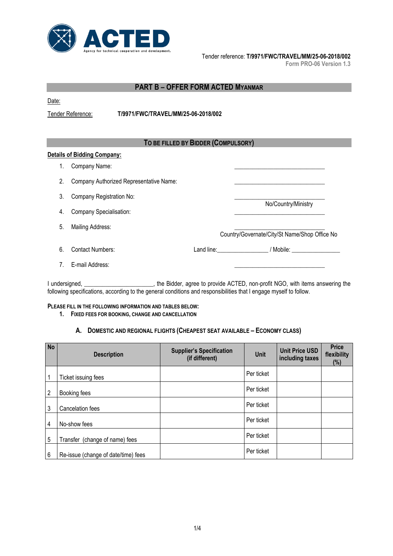

Tender reference: **T/9971/FWC/TRAVEL/MM/25-06-2018/002**

**Form PRO-06 Version 1.3**

| <b>PART B - OFFER FORM ACTED MYANMAR</b> |                                                |                                     |  |                                                                              |  |
|------------------------------------------|------------------------------------------------|-------------------------------------|--|------------------------------------------------------------------------------|--|
| Date:                                    |                                                |                                     |  |                                                                              |  |
|                                          | Tender Reference:                              | T/9971/FWC/TRAVEL/MM/25-06-2018/002 |  |                                                                              |  |
|                                          |                                                |                                     |  |                                                                              |  |
|                                          |                                                | TO BE FILLED BY BIDDER (COMPULSORY) |  |                                                                              |  |
|                                          | <b>Details of Bidding Company:</b>             |                                     |  |                                                                              |  |
| 1.                                       | Company Name:                                  |                                     |  |                                                                              |  |
| 2.                                       | Company Authorized Representative Name:        |                                     |  |                                                                              |  |
| 3.                                       | Company Registration No:                       |                                     |  |                                                                              |  |
| 4.                                       | No/Country/Ministry<br>Company Specialisation: |                                     |  |                                                                              |  |
| 5.                                       | Mailing Address:                               |                                     |  | Country/Governate/City/St Name/Shop Office No                                |  |
| 6.                                       | <b>Contact Numbers:</b>                        |                                     |  |                                                                              |  |
| $7_{\scriptscriptstyle{\ddots}}$         | E-mail Address:                                |                                     |  |                                                                              |  |
|                                          | I undersigned, ______________                  |                                     |  | the Bidder, agree to provide ACTED, non-profit NGO, with items answering the |  |

following specifications, according to the general conditions and responsibilities that I engage myself to follow.

#### **PLEASE FILL IN THE FOLLOWING INFORMATION AND TABLES BELOW:**

#### **1. FIXED FEES FOR BOOKING, CHANGE AND CANCELLATION**

#### **A. DOMESTIC AND REGIONAL FLIGHTS (CHEAPEST SEAT AVAILABLE – ECONOMY CLASS)**

| <b>No</b> | <b>Description</b>                  | <b>Supplier's Specification</b><br>(if different) | Unit       | <b>Unit Price USD</b><br>including taxes | <b>Price</b><br>flexibility<br>$(\%)$ |
|-----------|-------------------------------------|---------------------------------------------------|------------|------------------------------------------|---------------------------------------|
|           | Ticket issuing fees                 |                                                   | Per ticket |                                          |                                       |
| 2         | Booking fees                        |                                                   | Per ticket |                                          |                                       |
| 3         | Cancelation fees                    |                                                   | Per ticket |                                          |                                       |
| 4         | No-show fees                        |                                                   | Per ticket |                                          |                                       |
| 5         | Transfer (change of name) fees      |                                                   | Per ticket |                                          |                                       |
| 6         | Re-issue (change of date/time) fees |                                                   | Per ticket |                                          |                                       |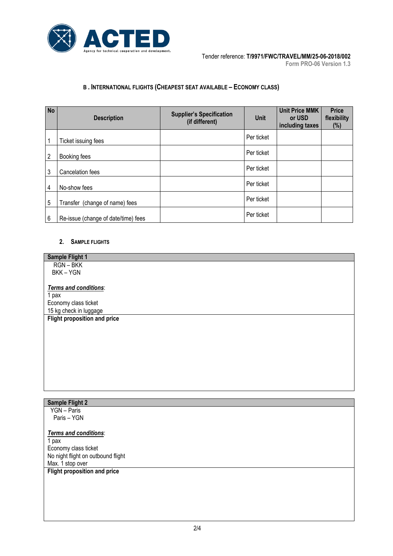

## **B . INTERNATIONAL FLIGHTS (CHEAPEST SEAT AVAILABLE – ECONOMY CLASS)**

| <b>No</b> | <b>Description</b>                  | <b>Supplier's Specification</b><br>(if different) | <b>Unit</b> | <b>Unit Price MMK</b><br>or USD<br>including taxes | <b>Price</b><br>flexibility<br>$(\% )$ |
|-----------|-------------------------------------|---------------------------------------------------|-------------|----------------------------------------------------|----------------------------------------|
| 1         | Ticket issuing fees                 |                                                   | Per ticket  |                                                    |                                        |
| 2         | Booking fees                        |                                                   | Per ticket  |                                                    |                                        |
| 3         | Cancelation fees                    |                                                   | Per ticket  |                                                    |                                        |
| 4         | No-show fees                        |                                                   | Per ticket  |                                                    |                                        |
| 5         | Transfer (change of name) fees      |                                                   | Per ticket  |                                                    |                                        |
| 6         | Re-issue (change of date/time) fees |                                                   | Per ticket  |                                                    |                                        |

#### **2. SAMPLE FLIGHTS**

| <b>Sample Flight 1</b>              |
|-------------------------------------|
| RGN-BKK                             |
| BKK-YGN                             |
|                                     |
| Terms and conditions:               |
| 1 pax                               |
| Economy class ticket                |
| 15 kg check in luggage              |
| <b>Flight proposition and price</b> |
|                                     |
|                                     |
|                                     |
|                                     |
|                                     |

## **Sample Flight 2**

 YGN – Paris Paris – YGN

## *Terms and conditions*:

1 pax Economy class ticket No night flight on outbound flight Max. 1 stop over

## **Flight proposition and price**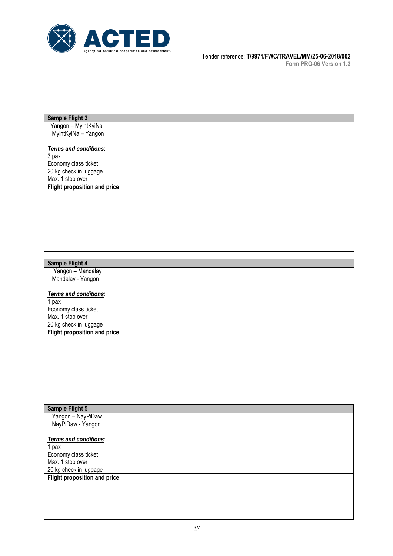

#### Tender reference: **T/9971/FWC/TRAVEL/MM/25-06-2018/002**

**Form PRO-06 Version 1.3**

#### **Sample Flight 3**

 Yangon – MyintKyiNa MyintKyiNa – Yangon

# *Terms and conditions*:

3 pax Economy class ticket 20 kg check in luggage Max. 1 stop over **Flight proposition and price**

## **Sample Flight 4**

 Yangon – Mandalay Mandalay - Yangon

#### *Terms and conditions*:

1 pax Economy class ticket Max. 1 stop over 20 kg check in luggage

**Flight proposition and price**

## **Sample Flight 5**

 Yangon – NayPiDaw NayPiDaw - Yangon

#### *Terms and conditions*:

1 pax Economy class ticket Max. 1 stop over 20 kg check in luggage **Flight proposition and price**